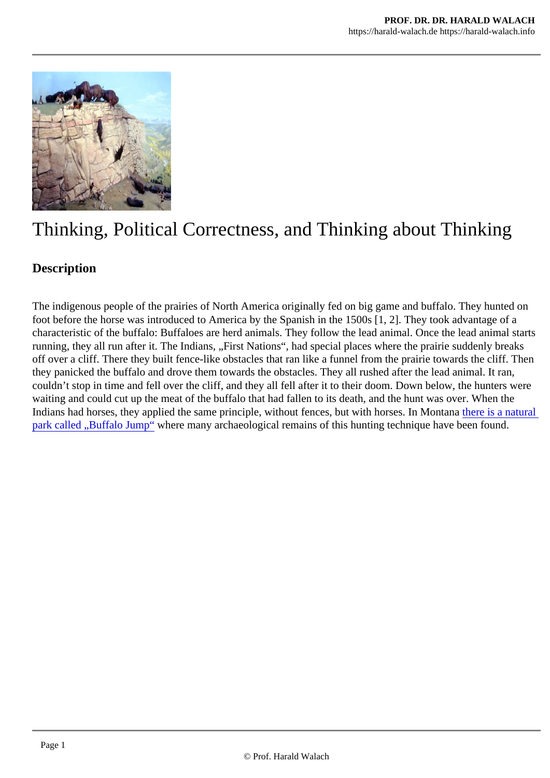# Thinking, Political Correctness, and Thinking about Thinking

### **Description**

The indigenous people of the prairies of North America originally fed on big game and buffalo. They hunte foot before the horse was introduced to America by the Spanish in the 1500s [1, 2]. They took advantage characteristic of the buffalo: Buffaloes are herd animals. They follow the lead animal. Once the lead anima running, they all run after it. The Indians, "First Nations", had special places where the prairie suddenly bre off over a cliff. There they built fence-like obstacles that ran like a funnel from the prairie towards the cliff. they panicked the buffalo and drove them towards the obstacles. They all rushed after the lead animal. It ren, couldn't stop in time and fell over the cliff, and they all fell after it to their doom. Down below, the hunters v waiting and could cut up the meat of the buffalo that had fallen to its death, and the hunt was over. When the Indians had horses, they applied the same principle, without fences, but with horses. In Mentaisa natural [park called "Buffalo Jump](https://alchetron.com/Buffalo-jump)" where many archaeological remains of this hunting technique have been found.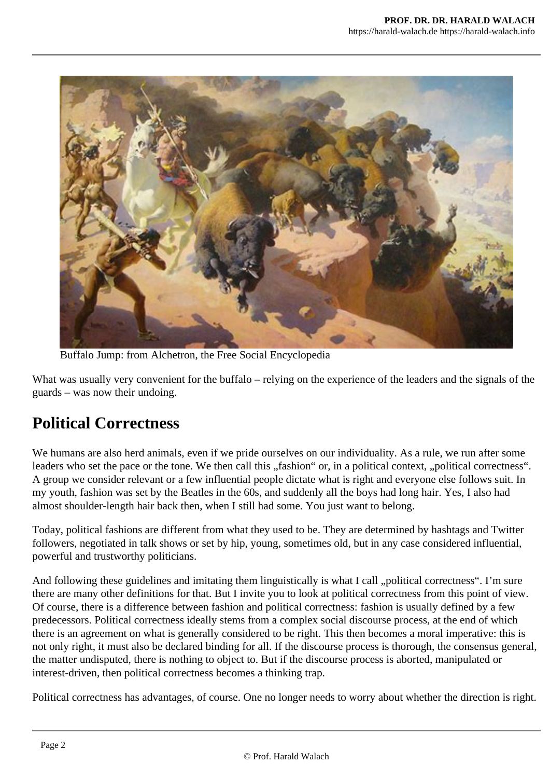

Buffalo Jump: from Alchetron, the Free Social Encyclopedia

What was usually very convenient for the buffalo – relying on the experience of the leaders and the signals of the guards – was now their undoing.

## **Political Correctness**

We humans are also herd animals, even if we pride ourselves on our individuality. As a rule, we run after some leaders who set the pace or the tone. We then call this "fashion" or, in a political context, "political correctness". A group we consider relevant or a few influential people dictate what is right and everyone else follows suit. In my youth, fashion was set by the Beatles in the 60s, and suddenly all the boys had long hair. Yes, I also had almost shoulder-length hair back then, when I still had some. You just want to belong.

Today, political fashions are different from what they used to be. They are determined by hashtags and Twitter followers, negotiated in talk shows or set by hip, young, sometimes old, but in any case considered influential, powerful and trustworthy politicians.

And following these guidelines and imitating them linguistically is what I call "political correctness". I'm sure there are many other definitions for that. But I invite you to look at political correctness from this point of view. Of course, there is a difference between fashion and political correctness: fashion is usually defined by a few predecessors. Political correctness ideally stems from a complex social discourse process, at the end of which there is an agreement on what is generally considered to be right. This then becomes a moral imperative: this is not only right, it must also be declared binding for all. If the discourse process is thorough, the consensus general, the matter undisputed, there is nothing to object to. But if the discourse process is aborted, manipulated or interest-driven, then political correctness becomes a thinking trap.

Political correctness has advantages, of course. One no longer needs to worry about whether the direction is right.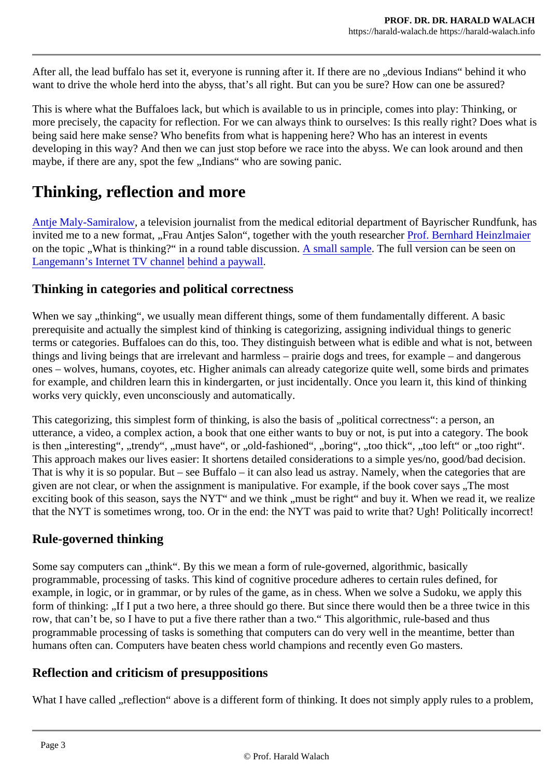After all, the lead buffalo has set it, everyone is running after it. If there are no "devious Indians" behind it w want to drive the whole herd into the abyss, that's all right. But can you be sure? How can one be assured

This is where what the Buffaloes lack, but which is available to us in principle, comes into play: Thinking, or more precisely, the capacity for reflection. For we can always think to ourselves: Is this really right? Does being said here make sense? Who benefits from what is happening here? Who has an interest in events developing in this way? And then we can just stop before we race into the abyss. We can look around and maybe, if there are any, spot the few "Indians" who are sowing panic.

# Thinking, reflection and more

Antje Maly-Samiralow a television journalist from the medical editorial department of Bayrischer Rundfunk invited me to a new format, "Frau Antjes Salon", together with the youth researcher Profinald Heinzlmaier on the topic "What is thinking?" in a round table discussion. Sample The full version can be seen on [Langemann's Internet TV chann](https://geistblog.org/2022/04/17/das-denken-im-stresstest-clubderklarenworte/)el bind a paywall

#### Thinking in categories and political correctness

When we say "thinking", we usually mean different things, some of them fundamentally different. A basic prerequisite and actually the simplest kind of thinking is categorizing, assigning individual things to generic terms or categories. Buffaloes can do this, too. They distinguish between what is edible and what is not, between things and living beings that are irrelevant and harmless  $-$  prairie dogs and trees, for example  $-$  and dang ones – wolves, humans, coyotes, etc. Higher animals can already categorize quite well, some birds and p for example, and children learn this in kindergarten, or just incidentally. Once you learn it, this kind of think works very quickly, even unconsciously and automatically.

This categorizing, this simplest form of thinking, is also the basis of "political correctness": a person, an utterance, a video, a complex action, a book that one either wants to buy or not, is put into a category. The is then "interesting", "trendy", "must have", or "old-fashioned", "boring", "too thick", "too left" or "too right". This approach makes our lives easier: It shortens detailed considerations to a simple yes/no, good/bad de That is why it is so popular. But – see Buffalo – it can also lead us astray. Namely, when the categories th given are not clear, or when the assignment is manipulative. For example, if the book cover says "The mo exciting book of this season, says the NYT" and we think "must be right" and buy it. When we read it, we r that the NYT is sometimes wrong, too. Or in the end: the NYT was paid to write that? Ugh! Politically incorre

### Rule-governed thinking

Some say computers can "think". By this we mean a form of rule-governed, algorithmic, basically programmable, processing of tasks. This kind of cognitive procedure adheres to certain rules defined, for example, in logic, or in grammar, or by rules of the game, as in chess. When we solve a Sudoku, we apply form of thinking: "If I put a two here, a three should go there. But since there would then be a three twice in row, that can't be, so I have to put a five there rather than a two." This algorithmic, rule-based and thus programmable processing of tasks is something that computers can do very well in the meantime, better to humans often can. Computers have beaten chess world champions and recently even Go masters.

#### Reflection and criticism of presuppositions

What I have called "reflection" above is a different form of thinking. It does not simply apply rules to a prob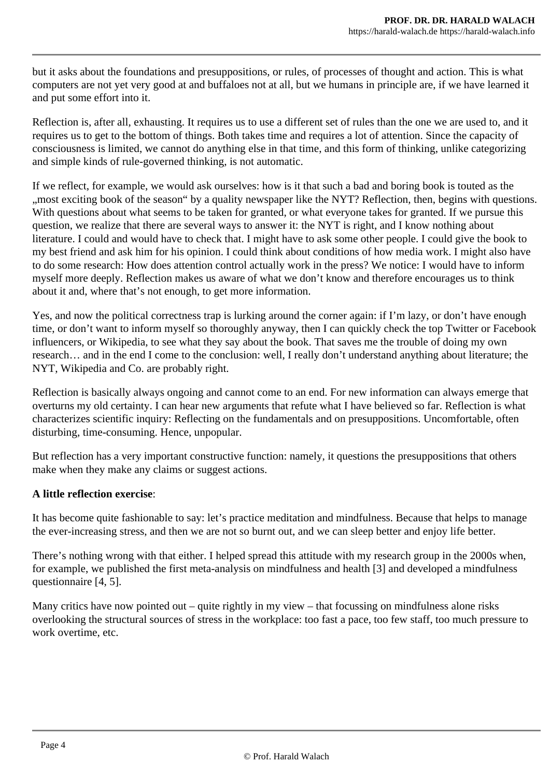but it asks about the foundations and presuppositions, or rules, of processes of thought and action. This is what computers are not yet very good at and buffaloes not at all, but we humans in principle are, if we have learned it and put some effort into it.

Reflection is, after all, exhausting. It requires us to use a different set of rules than the one we are used to, and it requires us to get to the bottom of things. Both takes time and requires a lot of attention. Since the capacity of consciousness is limited, we cannot do anything else in that time, and this form of thinking, unlike categorizing and simple kinds of rule-governed thinking, is not automatic.

If we reflect, for example, we would ask ourselves: how is it that such a bad and boring book is touted as the "most exciting book of the season" by a quality newspaper like the NYT? Reflection, then, begins with questions. With questions about what seems to be taken for granted, or what everyone takes for granted. If we pursue this question, we realize that there are several ways to answer it: the NYT is right, and I know nothing about literature. I could and would have to check that. I might have to ask some other people. I could give the book to my best friend and ask him for his opinion. I could think about conditions of how media work. I might also have to do some research: How does attention control actually work in the press? We notice: I would have to inform myself more deeply. Reflection makes us aware of what we don't know and therefore encourages us to think about it and, where that's not enough, to get more information.

Yes, and now the political correctness trap is lurking around the corner again: if I'm lazy, or don't have enough time, or don't want to inform myself so thoroughly anyway, then I can quickly check the top Twitter or Facebook influencers, or Wikipedia, to see what they say about the book. That saves me the trouble of doing my own research… and in the end I come to the conclusion: well, I really don't understand anything about literature; the NYT, Wikipedia and Co. are probably right.

Reflection is basically always ongoing and cannot come to an end. For new information can always emerge that overturns my old certainty. I can hear new arguments that refute what I have believed so far. Reflection is what characterizes scientific inquiry: Reflecting on the fundamentals and on presuppositions. Uncomfortable, often disturbing, time-consuming. Hence, unpopular.

But reflection has a very important constructive function: namely, it questions the presuppositions that others make when they make any claims or suggest actions.

#### **A little reflection exercise**:

It has become quite fashionable to say: let's practice meditation and mindfulness. Because that helps to manage the ever-increasing stress, and then we are not so burnt out, and we can sleep better and enjoy life better.

There's nothing wrong with that either. I helped spread this attitude with my research group in the 2000s when, for example, we published the first meta-analysis on mindfulness and health [3] and developed a mindfulness questionnaire [4, 5].

Many critics have now pointed out – quite rightly in my view – that focussing on mindfulness alone risks overlooking the structural sources of stress in the workplace: too fast a pace, too few staff, too much pressure to work overtime, etc.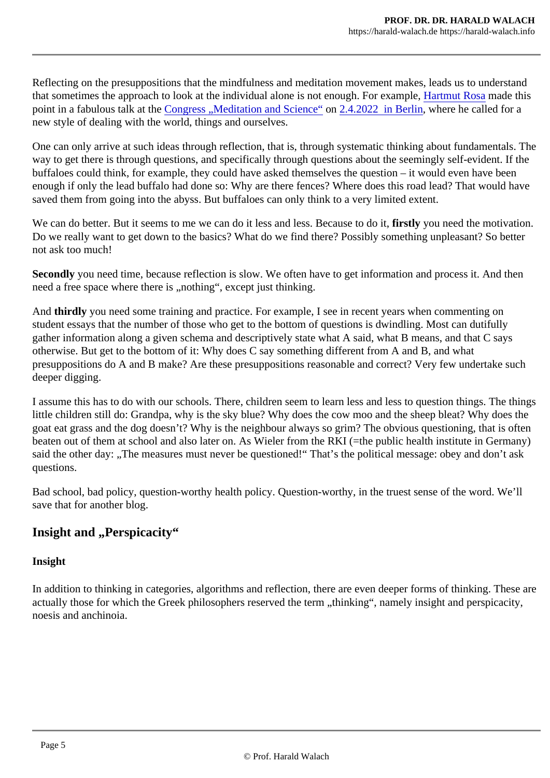Reflecting on the presuppositions that the mindfulness and meditation movement makes, leads us to under that sometimes the approach to look at the individual alone is not enough. For example Rosa made this pointin a fabulous talk at the Ongress "Meditation and Sciencent 2.4.2022 in Berlin where he called for a new style of dealing with the world, things and ourselves.

One can only arrive at such ideas through reflection, that is, through systematic thinking about fundamental way to get there is through questions, and specifically through questions about the seemingly self-evident. buffaloes could think, for example, they could have asked themselves the question  $-$  it would even have b enough if only the lead buffalo had done so: Why are there fences? Where does this road lead? That wou saved them from going into the abyss. But buffaloes can only think to a very limited extent.

We can do better. But it seems to me we can do it less and less. Becausefitstic you needhe motivation. Do we really want to get down to the basics? What do we find there? Possibly something unpleasant? So not ask too much!

Secondlyyou need time, because reflection is slow. We often have to get information and process it. And the need a free space where there is "nothing", except just thinking.

And thirdly you need some training and practice. For example, I see in recent years when commenting on student essays that the number of those who get to the bottom of questions is dwindling. Most can dutifull gather information along a given schema and descriptively state what A said, what B means, and that C say otherwise. But get to the bottom of it: Why does C say something different from A and B, and what presuppositions do A and B make? Are these presuppositions reasonable and correct? Very few undertak deeper digging.

I assume this has to do with our schools. There, children seem to learn less and less to question things. The things of little children still do: Grandpa, why is the sky blue? Why does the cow moo and the sheep bleat? Why do goat eat grass and the dog doesn't? Why is the neighbour always so grim? The obvious questioning, that beaten out of them at school and also later on. As Wieler from the RKI (=the public health institute in Gern said the other day: "The measures must never be questioned!" That's the political message: obey and dor questions.

Bad school, bad policy, question-worthy health policy. Question-worthy, in the truest sense of the word. We save that for another blog.

Insight and "Perspicacity"

Insight

In addition to thinking in categories, algorithms and reflection, there are even deeper forms of thinking. Th actually those for which the Greek philosophers reserved the term "thinking", namely insight and perspica noesis and anchinoia.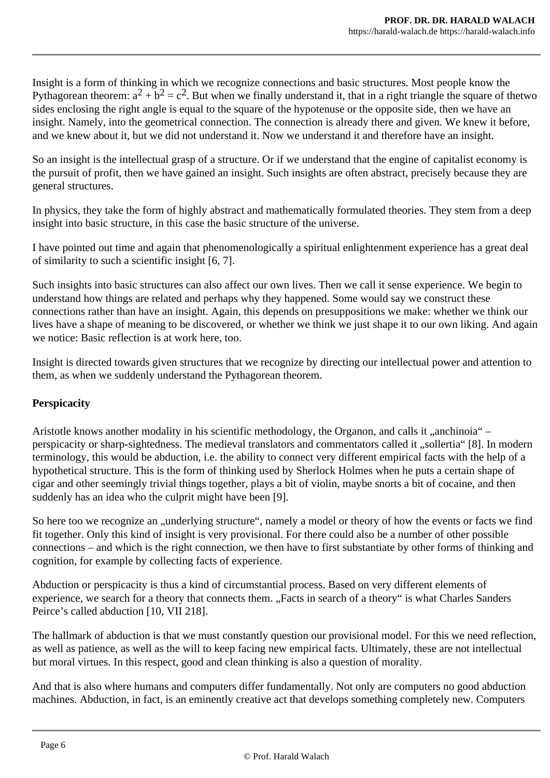Insight is a form of thinking in which we recognize connections and basic structures. Most people know the Pythagorean theorem:  $a^2 + b^2 = c^2$ . But when we finally understand it, that in a right triangle the square of thetwo sides enclosing the right angle is equal to the square of the hypotenuse or the opposite side, then we have an insight. Namely, into the geometrical connection. The connection is already there and given. We knew it before, and we knew about it, but we did not understand it. Now we understand it and therefore have an insight.

So an insight is the intellectual grasp of a structure. Or if we understand that the engine of capitalist economy is the pursuit of profit, then we have gained an insight. Such insights are often abstract, precisely because they are general structures.

In physics, they take the form of highly abstract and mathematically formulated theories. They stem from a deep insight into basic structure, in this case the basic structure of the universe.

I have pointed out time and again that phenomenologically a spiritual enlightenment experience has a great deal of similarity to such a scientific insight [6, 7].

Such insights into basic structures can also affect our own lives. Then we call it sense experience. We begin to understand how things are related and perhaps why they happened. Some would say we construct these connections rather than have an insight. Again, this depends on presuppositions we make: whether we think our lives have a shape of meaning to be discovered, or whether we think we just shape it to our own liking. And again we notice: Basic reflection is at work here, too.

Insight is directed towards given structures that we recognize by directing our intellectual power and attention to them, as when we suddenly understand the Pythagorean theorem.

#### **Perspicacity**

Aristotle knows another modality in his scientific methodology, the Organon, and calls it "anchinoia" – perspicacity or sharp-sightedness. The medieval translators and commentators called it "sollertia" [8]. In modern terminology, this would be abduction, i.e. the ability to connect very different empirical facts with the help of a hypothetical structure. This is the form of thinking used by Sherlock Holmes when he puts a certain shape of cigar and other seemingly trivial things together, plays a bit of violin, maybe snorts a bit of cocaine, and then suddenly has an idea who the culprit might have been [9].

So here too we recognize an "underlying structure", namely a model or theory of how the events or facts we find fit together. Only this kind of insight is very provisional. For there could also be a number of other possible connections – and which is the right connection, we then have to first substantiate by other forms of thinking and cognition, for example by collecting facts of experience.

Abduction or perspicacity is thus a kind of circumstantial process. Based on very different elements of experience, we search for a theory that connects them. "Facts in search of a theory" is what Charles Sanders Peirce's called abduction [10, VII 218].

The hallmark of abduction is that we must constantly question our provisional model. For this we need reflection, as well as patience, as well as the will to keep facing new empirical facts. Ultimately, these are not intellectual but moral virtues. In this respect, good and clean thinking is also a question of morality.

And that is also where humans and computers differ fundamentally. Not only are computers no good abduction machines. Abduction, in fact, is an eminently creative act that develops something completely new. Computers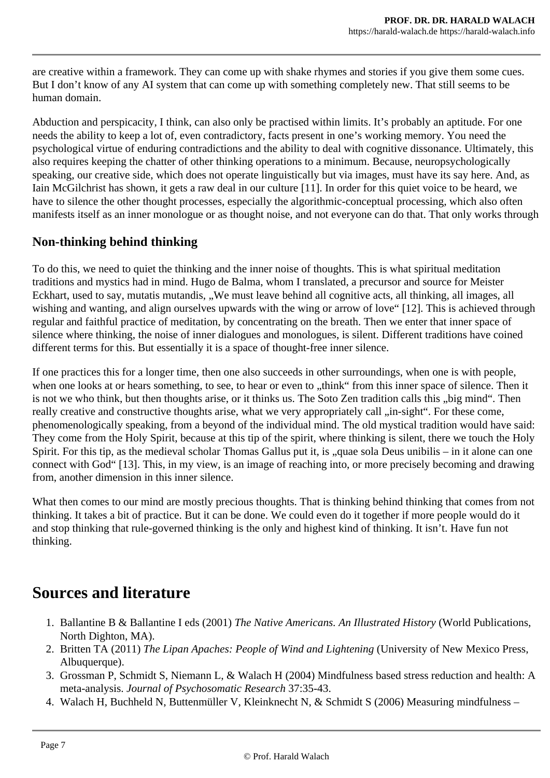are creative within a framework. They can come up with shake rhymes and stories if you give them some cues. But I don't know of any AI system that can come up with something completely new. That still seems to be human domain.

Abduction and perspicacity, I think, can also only be practised within limits. It's probably an aptitude. For one needs the ability to keep a lot of, even contradictory, facts present in one's working memory. You need the psychological virtue of enduring contradictions and the ability to deal with cognitive dissonance. Ultimately, this also requires keeping the chatter of other thinking operations to a minimum. Because, neuropsychologically speaking, our creative side, which does not operate linguistically but via images, must have its say here. And, as Iain McGilchrist has shown, it gets a raw deal in our culture [11]. In order for this quiet voice to be heard, we have to silence the other thought processes, especially the algorithmic-conceptual processing, which also often manifests itself as an inner monologue or as thought noise, and not everyone can do that. That only works through

### **Non-thinking behind thinking**

To do this, we need to quiet the thinking and the inner noise of thoughts. This is what spiritual meditation traditions and mystics had in mind. Hugo de Balma, whom I translated, a precursor and source for Meister Eckhart, used to say, mutatis mutandis, "We must leave behind all cognitive acts, all thinking, all images, all wishing and wanting, and align ourselves upwards with the wing or arrow of love" [12]. This is achieved through regular and faithful practice of meditation, by concentrating on the breath. Then we enter that inner space of silence where thinking, the noise of inner dialogues and monologues, is silent. Different traditions have coined different terms for this. But essentially it is a space of thought-free inner silence.

If one practices this for a longer time, then one also succeeds in other surroundings, when one is with people, when one looks at or hears something, to see, to hear or even to "think" from this inner space of silence. Then it is not we who think, but then thoughts arise, or it thinks us. The Soto Zen tradition calls this "big mind". Then really creative and constructive thoughts arise, what we very appropriately call "in-sight". For these come, phenomenologically speaking, from a beyond of the individual mind. The old mystical tradition would have said: They come from the Holy Spirit, because at this tip of the spirit, where thinking is silent, there we touch the Holy Spirit. For this tip, as the medieval scholar Thomas Gallus put it, is "quae sola Deus unibilis – in it alone can one connect with God" [13]. This, in my view, is an image of reaching into, or more precisely becoming and drawing from, another dimension in this inner silence.

What then comes to our mind are mostly precious thoughts. That is thinking behind thinking that comes from not thinking. It takes a bit of practice. But it can be done. We could even do it together if more people would do it and stop thinking that rule-governed thinking is the only and highest kind of thinking. It isn't. Have fun not thinking.

### **Sources and literature**

- 1. Ballantine B & Ballantine I eds (2001) *The Native Americans. An Illustrated History* (World Publications, North Dighton, MA).
- 2. Britten TA (2011) *The Lipan Apaches: People of Wind and Lightening* (University of New Mexico Press, Albuquerque).
- 3. Grossman P, Schmidt S, Niemann L, & Walach H (2004) Mindfulness based stress reduction and health: A meta-analysis. *Journal of Psychosomatic Research* 37:35-43.
- 4. Walach H, Buchheld N, Buttenmüller V, Kleinknecht N, & Schmidt S (2006) Measuring mindfulness –